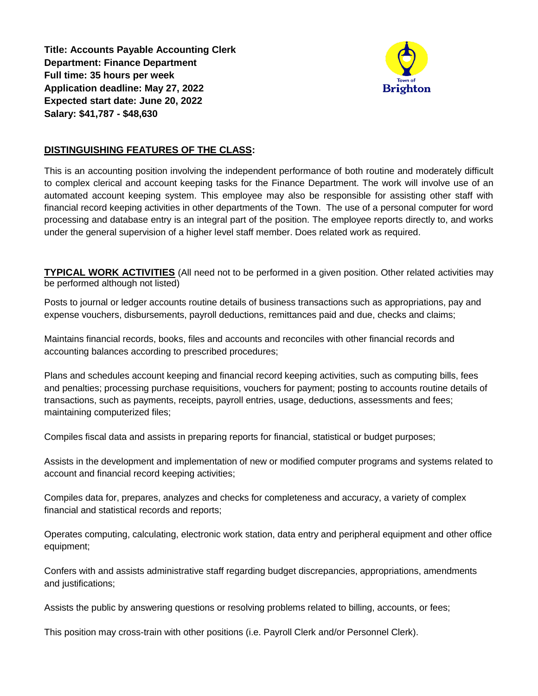**Title: Accounts Payable Accounting Clerk Department: Finance Department Full time: 35 hours per week Application deadline: May 27, 2022 Expected start date: June 20, 2022 Salary: \$41,787 - \$48,630**



## **DISTINGUISHING FEATURES OF THE CLASS:**

This is an accounting position involving the independent performance of both routine and moderately difficult to complex clerical and account keeping tasks for the Finance Department. The work will involve use of an automated account keeping system. This employee may also be responsible for assisting other staff with financial record keeping activities in other departments of the Town. The use of a personal computer for word processing and database entry is an integral part of the position. The employee reports directly to, and works under the general supervision of a higher level staff member. Does related work as required.

**TYPICAL WORK ACTIVITIES** (All need not to be performed in a given position. Other related activities may be performed although not listed)

Posts to journal or ledger accounts routine details of business transactions such as appropriations, pay and expense vouchers, disbursements, payroll deductions, remittances paid and due, checks and claims;

Maintains financial records, books, files and accounts and reconciles with other financial records and accounting balances according to prescribed procedures;

Plans and schedules account keeping and financial record keeping activities, such as computing bills, fees and penalties; processing purchase requisitions, vouchers for payment; posting to accounts routine details of transactions, such as payments, receipts, payroll entries, usage, deductions, assessments and fees; maintaining computerized files;

Compiles fiscal data and assists in preparing reports for financial, statistical or budget purposes;

Assists in the development and implementation of new or modified computer programs and systems related to account and financial record keeping activities;

Compiles data for, prepares, analyzes and checks for completeness and accuracy, a variety of complex financial and statistical records and reports;

Operates computing, calculating, electronic work station, data entry and peripheral equipment and other office equipment;

Confers with and assists administrative staff regarding budget discrepancies, appropriations, amendments and justifications;

Assists the public by answering questions or resolving problems related to billing, accounts, or fees;

This position may cross-train with other positions (i.e. Payroll Clerk and/or Personnel Clerk).